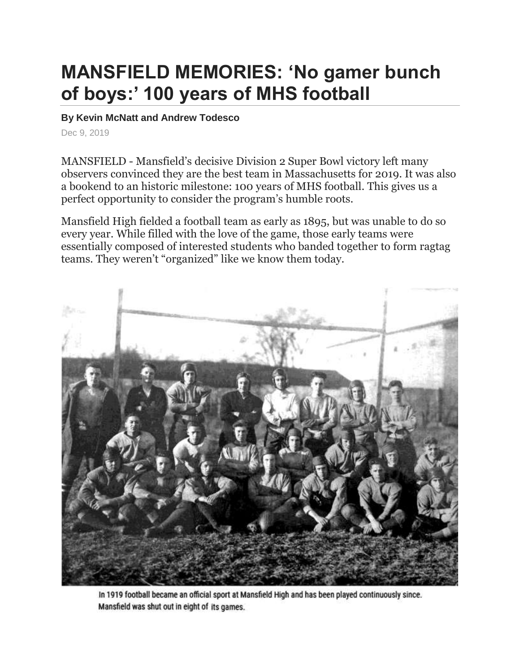## **MANSFIELD MEMORIES: 'No gamer bunch of boys:' 100 years of MHS football**

## **By Kevin McNatt and Andrew Todesco**

Dec 9, 2019

MANSFIELD - Mansfield's decisive Division 2 Super Bowl victory left many observers convinced they are the best team in Massachusetts for 2019. It was also a bookend to an historic milestone: 100 years of MHS football. This gives us a perfect opportunity to consider the program's humble roots.

Mansfield High fielded a football team as early as 1895, but was unable to do so every year. While filled with the love of the game, those early teams were essentially composed of interested students who banded together to form ragtag teams. They weren't "organized" like we know them today.



In 1919 football became an official sport at Mansfield High and has been played continuously since. Mansfield was shut out in eight of its games.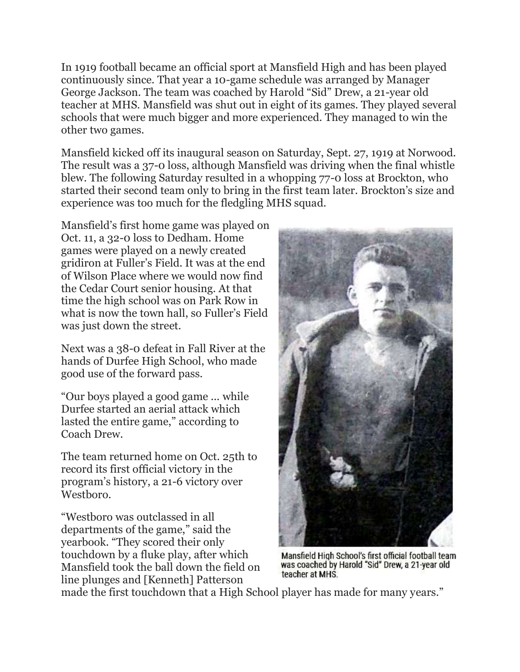In 1919 football became an official sport at Mansfield High and has been played continuously since. That year a 10-game schedule was arranged by Manager George Jackson. The team was coached by Harold "Sid" Drew, a 21-year old teacher at MHS. Mansfield was shut out in eight of its games. They played several schools that were much bigger and more experienced. They managed to win the other two games.

Mansfield kicked off its inaugural season on Saturday, Sept. 27, 1919 at Norwood. The result was a 37-0 loss, although Mansfield was driving when the final whistle blew. The following Saturday resulted in a whopping 77-0 loss at Brockton, who started their second team only to bring in the first team later. Brockton's size and experience was too much for the fledgling MHS squad.

Mansfield's first home game was played on Oct. 11, a 32-0 loss to Dedham. Home games were played on a newly created gridiron at Fuller's Field. It was at the end of Wilson Place where we would now find the Cedar Court senior housing. At that time the high school was on Park Row in what is now the town hall, so Fuller's Field was just down the street.

Next was a 38-0 defeat in Fall River at the hands of Durfee High School, who made good use of the forward pass.

"Our boys played a good game ... while Durfee started an aerial attack which lasted the entire game," according to Coach Drew.

The team returned home on Oct. 25th to record its first official victory in the program's history, a 21-6 victory over Westboro.

"Westboro was outclassed in all departments of the game," said the yearbook. "They scored their only touchdown by a fluke play, after which Mansfield took the ball down the field on line plunges and [Kenneth] Patterson



Mansfield High School's first official football team was coached by Harold "Sid" Drew, a 21-year old teacher at MHS.

made the first touchdown that a High School player has made for many years."